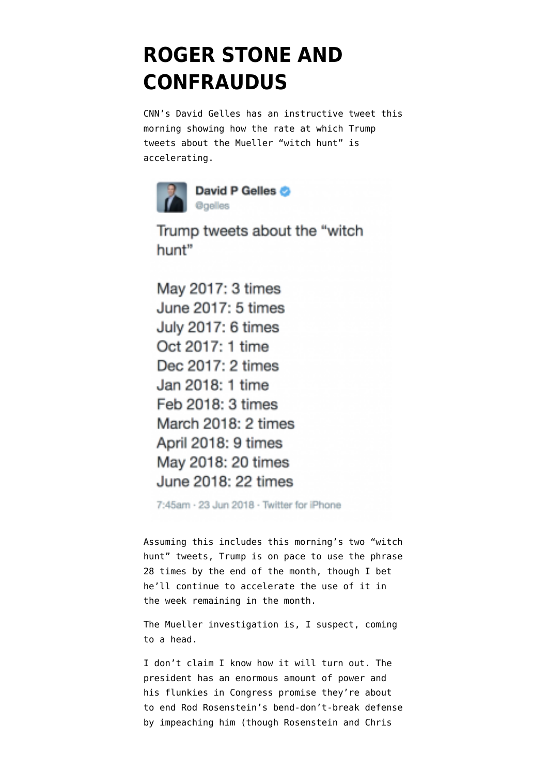## **[ROGER STONE AND](https://www.emptywheel.net/2018/06/23/roger-stone-and-confraudus/) [CONFRAUDUS](https://www.emptywheel.net/2018/06/23/roger-stone-and-confraudus/)**

CNN's David Gelles has an [instructive tweet](https://twitter.com/gelles/status/1010489138905264133) this morning showing how the rate at which Trump tweets about the Mueller "witch hunt" is accelerating.



Trump tweets about the "witch hunt"

May 2017: 3 times June 2017: 5 times July 2017: 6 times Oct 2017: 1 time Dec 2017: 2 times Jan 2018: 1 time Feb 2018: 3 times March 2018: 2 times April 2018: 9 times May 2018: 20 times June 2018: 22 times

7:45am · 23 Jun 2018 · Twitter for iPhone

Assuming this includes this morning's [two](https://twitter.com/realDonaldTrump/status/1010486772541816834) "witch hunt" [tweets](https://twitter.com/realDonaldTrump/status/1010485876806348800), Trump is on pace to use the phrase 28 times by the end of the month, though I bet he'll continue to accelerate the use of it in the week remaining in the month.

The Mueller investigation is, I suspect, coming to a head.

I don't claim I know how it will turn out. The president has an enormous amount of power and his flunkies in Congress promise they're about to [end Rod Rosenstein's bend-don't-break defense](https://www.emptywheel.net/2018/06/17/in-attempt-to-learn-how-much-mueller-knows-about-roger-stones-collusion-devin-nunes-blames-fbi-for-stone-and-michael-caputos-perjury-to-hpsci/) by impeaching him (though Rosenstein and Chris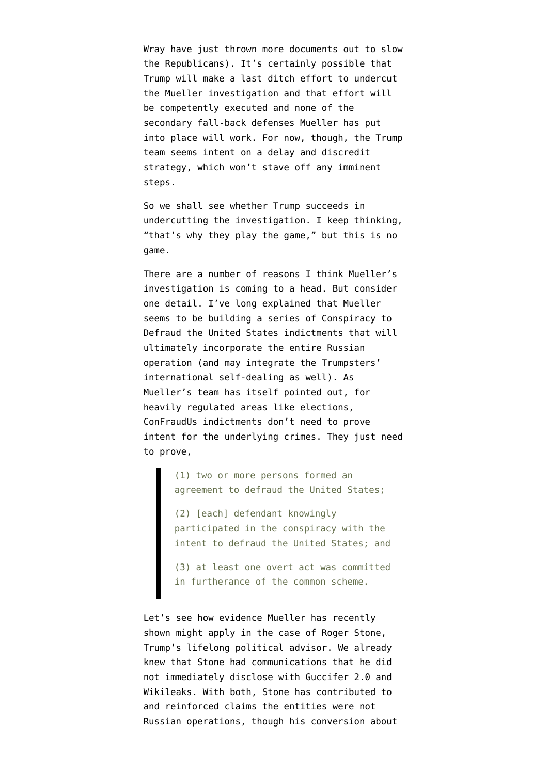Wray [have just thrown more documents](https://www.politico.com/story/2018/06/23/fbi-russia-probe-documents-nunes-gowdy-goodlatte-667181) out to slow the Republicans). It's certainly possible that Trump will make a last ditch effort to undercut the Mueller investigation and that effort will be competently executed and none of the secondary fall-back defenses Mueller has put into place will work. For now, though, the Trump team seems intent on a delay and discredit strategy, which won't stave off any imminent steps.

So we shall see whether Trump succeeds in undercutting the investigation. I keep thinking, "that's why they play the game," but this is no game.

There are a number of reasons I think Mueller's investigation is coming to a head. But consider one detail. I've [long explained](https://www.emptywheel.net/2018/02/17/the-conspiracy-to-defraud-the-united-states-backbone-of-the-internet-research-agency-and-manafort-indictments/) that Mueller seems to be building a series of Conspiracy to Defraud the United States indictments that will ultimately incorporate the entire Russian operation (and may integrate the [Trumpsters'](https://www.emptywheel.net/2018/02/21/jareds-clearance-and-the-foreign-policy-version-of-conspiracy-to-defraud-america/) [international self-dealing](https://www.emptywheel.net/2018/02/21/jareds-clearance-and-the-foreign-policy-version-of-conspiracy-to-defraud-america/) as well). As [Mueller's team has itself pointed out](https://www.emptywheel.net/2018/06/01/the-mueller-team-reveals-how-they-think-of-confraudus/), for heavily regulated areas like elections, ConFraudUs indictments don't need to prove intent for the underlying crimes. They just need to prove,

> (1) two or more persons formed an agreement to defraud the United States;

(2) [each] defendant knowingly participated in the conspiracy with the intent to defraud the United States; and

(3) at least one overt act was committed in furtherance of the common scheme.

Let's see how evidence Mueller has recently shown might apply in the case of Roger Stone, Trump's lifelong political advisor. We already [knew](https://www.justsecurity.org/45435/timeline-roger-stone-russias-guccifer-2-0-wikileaks/) that Stone had communications that he did not immediately disclose with Guccifer 2.0 and Wikileaks. With both, Stone has [contributed to](http://www.breitbart.com/2016-presidential-race/2016/08/05/dear-hillary-dnc-hack-solved-so-now-stop-blaming-russia/) and reinforced claims the entities were not Russian operations, though [his conversion about](https://www.cnn.com/2018/04/10/politics/roger-stone-2016-comments-russians-wikileaks/index.html)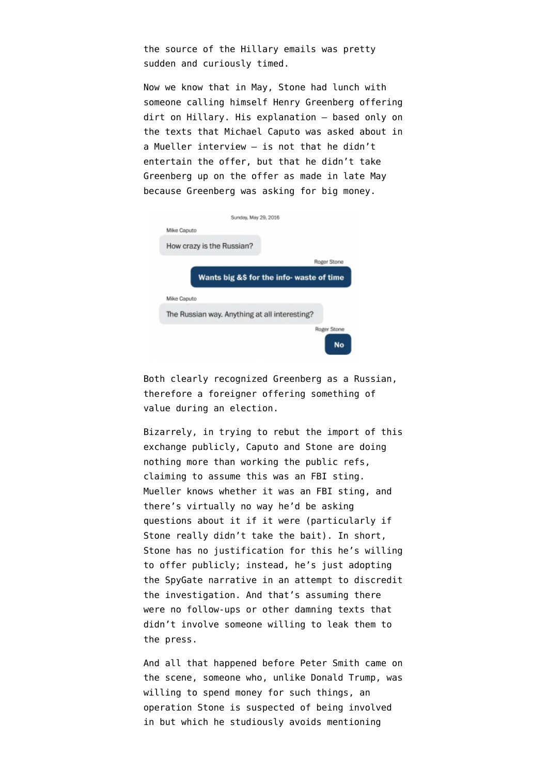[the source](https://www.cnn.com/2018/04/10/politics/roger-stone-2016-comments-russians-wikileaks/index.html) of the Hillary emails was pretty sudden and curiously timed.

Now we know that in May, Stone [had lunch](https://www.washingtonpost.com/politics/trump-associate-roger-stone-reveals-new-contact-with-russian-national-during-2016-campaign/2018/06/17/4a8123c8-6fd0-11e8-bd50-b80389a4e569_story.html) with someone calling himself Henry Greenberg offering dirt on Hillary. His explanation — based only on the texts that Michael Caputo was asked about in a Mueller interview — is not that he didn't entertain the offer, but that he didn't take Greenberg up on the offer as made in late May because Greenberg was asking for big money.

| Sunday, May 29, 2016                                         |             |
|--------------------------------------------------------------|-------------|
| Mike Caputo                                                  |             |
| How crazy is the Russian?                                    |             |
|                                                              | Roger Stone |
| Wants big &\$ for the info- waste of time                    |             |
|                                                              |             |
|                                                              |             |
| Mike Caputo<br>The Russian way. Anything at all interesting? | Roger Stone |

Both clearly recognized Greenberg as a Russian, therefore a foreigner offering something of value during an election.

Bizarrely, in trying to rebut the import of this exchange publicly, Caputo and Stone are doing nothing more than working the public refs, claiming to assume this was an FBI sting. Mueller knows whether it was an FBI sting, and there's virtually no way he'd be asking questions about it if it were (particularly if Stone really didn't take the bait). In short, Stone has no justification for this he's willing to offer publicly; instead, he's just adopting the SpyGate narrative in an attempt to discredit the investigation. And that's assuming there were no follow-ups or other damning texts that didn't involve someone willing to leak them to the press.

And all that happened before Peter Smith came on the scene, someone who, unlike Donald Trump, was willing to spend money for such things, an operation Stone [is suspected](https://www.emptywheel.net/2018/05/24/on-credico-and-stone-and-hillarys-libya-email/) of being involved in but which he [studiously avoids](https://www.emptywheel.net/2018/03/07/roger-stones-swiss-cheese-denials/) mentioning